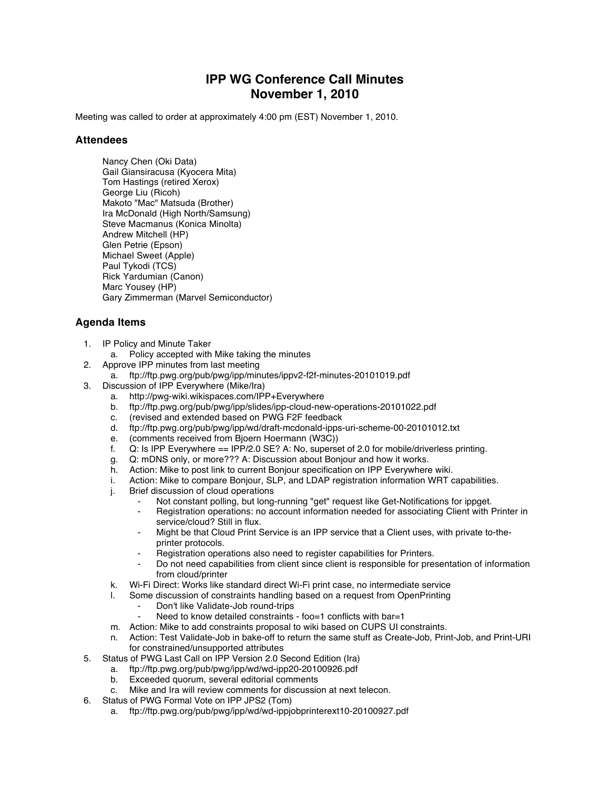## **IPP WG Conference Call Minutes November 1, 2010**

Meeting was called to order at approximately 4:00 pm (EST) November 1, 2010.

## **Attendees**

Nancy Chen (Oki Data) Gail Giansiracusa (Kyocera Mita) Tom Hastings (retired Xerox) George Liu (Ricoh) Makoto "Mac" Matsuda (Brother) Ira McDonald (High North/Samsung) Steve Macmanus (Konica Minolta) Andrew Mitchell (HP) Glen Petrie (Epson) Michael Sweet (Apple) Paul Tykodi (TCS) Rick Yardumian (Canon) Marc Yousey (HP) Gary Zimmerman (Marvel Semiconductor)

## **Agenda Items**

- 1. IP Policy and Minute Taker
	- a. Policy accepted with Mike taking the minutes
- 2. Approve IPP minutes from last meeting
	- a. ftp://ftp.pwg.org/pub/pwg/ipp/minutes/ippv2-f2f-minutes-20101019.pdf
- 3. Discussion of IPP Everywhere (Mike/Ira)
	- a. http://pwg-wiki.wikispaces.com/IPP+Everywhere
	- b. ftp://ftp.pwg.org/pub/pwg/ipp/slides/ipp-cloud-new-operations-20101022.pdf
	- c. (revised and extended based on PWG F2F feedback
	- d. ftp://ftp.pwg.org/pub/pwg/ipp/wd/draft-mcdonald-ipps-uri-scheme-00-20101012.txt
	- e. (comments received from Bjoern Hoermann (W3C))
	- f. Q: Is IPP Everywhere == IPP/2.0 SE? A: No, superset of 2.0 for mobile/driverless printing.
	- g. Q: mDNS only, or more??? A: Discussion about Bonjour and how it works.
	- h. Action: Mike to post link to current Bonjour specification on IPP Everywhere wiki.
	- i. Action: Mike to compare Bonjour, SLP, and LDAP registration information WRT capabilities.
	- j. Brief discussion of cloud operations
		- Not constant polling, but long-running "get" request like Get-Notifications for ippget.
		- Registration operations: no account information needed for associating Client with Printer in service/cloud? Still in flux.
		- Might be that Cloud Print Service is an IPP service that a Client uses, with private to-theprinter protocols.
		- Registration operations also need to register capabilities for Printers.
		- Do not need capabilities from client since client is responsible for presentation of information from cloud/printer
	- k. Wi-Fi Direct: Works like standard direct Wi-Fi print case, no intermediate service
	- l. Some discussion of constraints handling based on a request from OpenPrinting
		- Don't like Validate-Job round-trips
		- Need to know detailed constraints foo=1 conflicts with bar=1
	- m. Action: Mike to add constraints proposal to wiki based on CUPS UI constraints.
	- n. Action: Test Validate-Job in bake-off to return the same stuff as Create-Job, Print-Job, and Print-URI for constrained/unsupported attributes
- 5. Status of PWG Last Call on IPP Version 2.0 Second Edition (Ira)
	- a. ftp://ftp.pwg.org/pub/pwg/ipp/wd/wd-ipp20-20100926.pdf
	- b. Exceeded quorum, several editorial comments
	- c. Mike and Ira will review comments for discussion at next telecon.
- 6. Status of PWG Formal Vote on IPP JPS2 (Tom)
	- a. ftp://ftp.pwg.org/pub/pwg/ipp/wd/wd-ippjobprinterext10-20100927.pdf